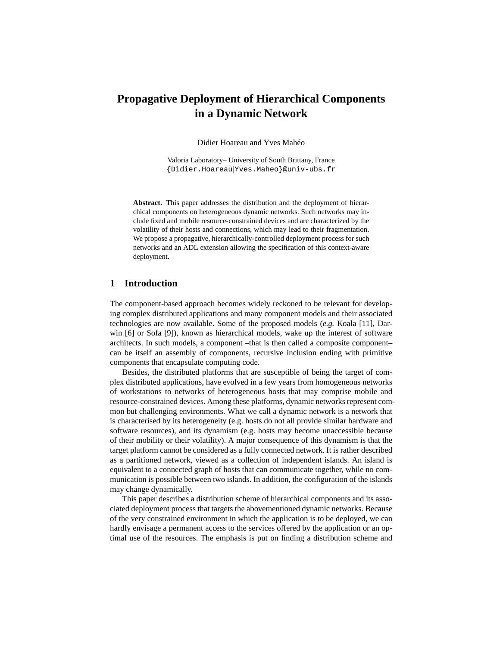# **Propagative Deployment of Hierarchical Components in a Dynamic Network**

Didier Hoareau and Yves Mahéo

Valoria Laboratory– University of South Brittany, France {Didier.Hoareau|Yves.Maheo}@univ-ubs.fr

**Abstract.** This paper addresses the distribution and the deployment of hierarchical components on heterogeneous dynamic networks. Such networks may include fixed and mobile resource-constrained devices and are characterized by the volatility of their hosts and connections, which may lead to their fragmentation. We propose a propagative, hierarchically-controlled deployment process for such networks and an ADL extension allowing the specification of this context-aware deployment.

#### **1 Introduction**

The component-based approach becomes widely reckoned to be relevant for developing complex distributed applications and many component models and their associated technologies are now available. Some of the proposed models (*e.g.* Koala [11], Darwin [6] or Sofa [9]), known as hierarchical models, wake up the interest of software architects. In such models, a component –that is then called a composite component– can be itself an assembly of components, recursive inclusion ending with primitive components that encapsulate computing code.

Besides, the distributed platforms that are susceptible of being the target of complex distributed applications, have evolved in a few years from homogeneous networks of workstations to networks of heterogeneous hosts that may comprise mobile and resource-constrained devices. Among these platforms, dynamic networks represent common but challenging environments. What we call a dynamic network is a network that is characterised by its heterogeneity (e.g. hosts do not all provide similar hardware and software resources), and its dynamism (e.g. hosts may become unaccessible because of their mobility or their volatility). A major consequence of this dynamism is that the target platform cannot be considered as a fully connected network. It is rather described as a partitioned network, viewed as a collection of independent islands. An island is equivalent to a connected graph of hosts that can communicate together, while no communication is possible between two islands. In addition, the configuration of the islands may change dynamically.

This paper describes a distribution scheme of hierarchical components and its associated deployment process that targets the abovementioned dynamic networks. Because of the very constrained environment in which the application is to be deployed, we can hardly envisage a permanent access to the services offered by the application or an optimal use of the resources. The emphasis is put on finding a distribution scheme and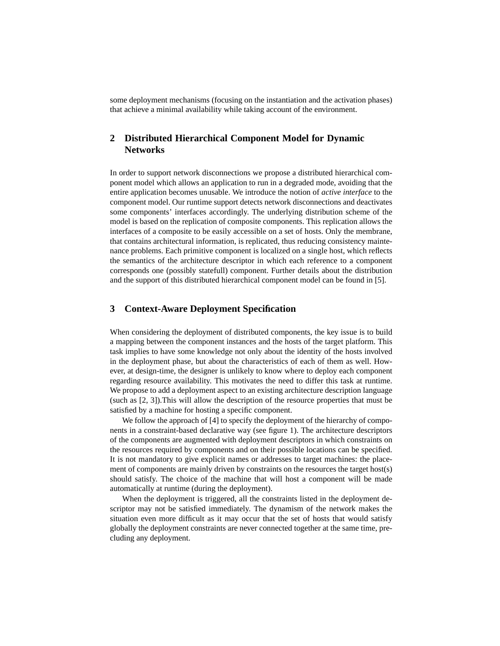some deployment mechanisms (focusing on the instantiation and the activation phases) that achieve a minimal availability while taking account of the environment.

## **2 Distributed Hierarchical Component Model for Dynamic Networks**

In order to support network disconnections we propose a distributed hierarchical component model which allows an application to run in a degraded mode, avoiding that the entire application becomes unusable. We introduce the notion of *active interface* to the component model. Our runtime support detects network disconnections and deactivates some components' interfaces accordingly. The underlying distribution scheme of the model is based on the replication of composite components. This replication allows the interfaces of a composite to be easily accessible on a set of hosts. Only the membrane, that contains architectural information, is replicated, thus reducing consistency maintenance problems. Each primitive component is localized on a single host, which reflects the semantics of the architecture descriptor in which each reference to a component corresponds one (possibly statefull) component. Further details about the distribution and the support of this distributed hierarchical component model can be found in [5].

## **3 Context-Aware Deployment Specification**

When considering the deployment of distributed components, the key issue is to build a mapping between the component instances and the hosts of the target platform. This task implies to have some knowledge not only about the identity of the hosts involved in the deployment phase, but about the characteristics of each of them as well. However, at design-time, the designer is unlikely to know where to deploy each component regarding resource availability. This motivates the need to differ this task at runtime. We propose to add a deployment aspect to an existing architecture description language (such as [2, 3]).This will allow the description of the resource properties that must be satisfied by a machine for hosting a specific component.

We follow the approach of [4] to specify the deployment of the hierarchy of components in a constraint-based declarative way (see figure 1). The architecture descriptors of the components are augmented with deployment descriptors in which constraints on the resources required by components and on their possible locations can be specified. It is not mandatory to give explicit names or addresses to target machines: the placement of components are mainly driven by constraints on the resources the target host(s) should satisfy. The choice of the machine that will host a component will be made automatically at runtime (during the deployment).

When the deployment is triggered, all the constraints listed in the deployment descriptor may not be satisfied immediately. The dynamism of the network makes the situation even more difficult as it may occur that the set of hosts that would satisfy globally the deployment constraints are never connected together at the same time, precluding any deployment.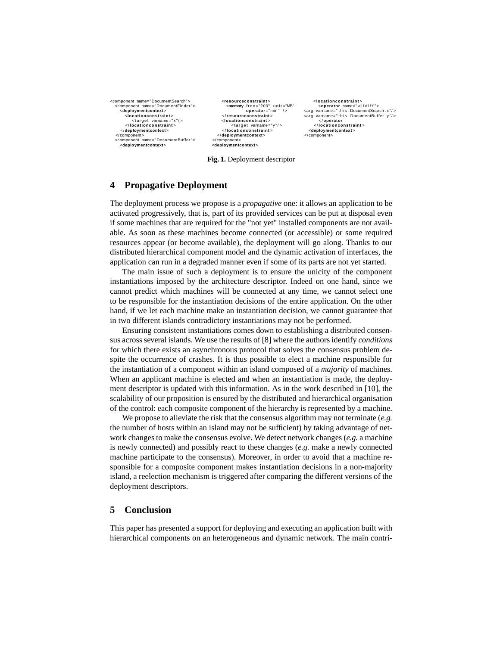<component name="DocumentSearch"> <component name=" DocumentFinder"> <**deploymentcontext**> **cationconstraint>**<br>cationconstraint><br>ctarget varname="x"/> <target varname= </ **locationconstraint** > </**deploymentcontext**> </component> <component name=" DocumentBuffer "> <**deploymentcontext**>

<**resourceconstraint** > <**memory** free ="200" u n i t ="MB" **operator** = "min" /> </**resourceconstraint** > <**locationconstraint** >  $\text{target}$  varname="y"/> </ **locationconstraint** > </**deploymentcontext**> </component> <**deploymentcontext**>

<**locationconstraint** > <**operator** name="alldiff"> <arg varname="this . DocumentSearch . x"/: karg varname=" this . DocumentBuffer . y"/> </ **operator** </ **locationconstraint** > <**deploymentcontext**> </component>

**Fig. 1.** Deployment descriptor

## **4 Propagative Deployment**

The deployment process we propose is a *propagative* one: it allows an application to be activated progressively, that is, part of its provided services can be put at disposal even if some machines that are required for the "not yet" installed components are not available. As soon as these machines become connected (or accessible) or some required resources appear (or become available), the deployment will go along. Thanks to our distributed hierarchical component model and the dynamic activation of interfaces, the application can run in a degraded manner even if some of its parts are not yet started.

The main issue of such a deployment is to ensure the unicity of the component instantiations imposed by the architecture descriptor. Indeed on one hand, since we cannot predict which machines will be connected at any time, we cannot select one to be responsible for the instantiation decisions of the entire application. On the other hand, if we let each machine make an instantiation decision, we cannot guarantee that in two different islands contradictory instantiations may not be performed.

Ensuring consistent instantiations comes down to establishing a distributed consensus across several islands. We use the results of [8] where the authors identify *conditions* for which there exists an asynchronous protocol that solves the consensus problem despite the occurrence of crashes. It is thus possible to elect a machine responsible for the instantiation of a component within an island composed of a *majority* of machines. When an applicant machine is elected and when an instantiation is made, the deployment descriptor is updated with this information. As in the work described in [10], the scalability of our proposition is ensured by the distributed and hierarchical organisation of the control: each composite component of the hierarchy is represented by a machine.

We propose to alleviate the risk that the consensus algorithm may not terminate (*e.g.* the number of hosts within an island may not be sufficient) by taking advantage of network changes to make the consensus evolve. We detect network changes (*e.g.* a machine is newly connected) and possibly react to these changes (*e.g.* make a newly connected machine participate to the consensus). Moreover, in order to avoid that a machine responsible for a composite component makes instantiation decisions in a non-majority island, a reelection mechanism is triggered after comparing the different versions of the deployment descriptors.

## **5 Conclusion**

This paper has presented a support for deploying and executing an application built with hierarchical components on an heterogeneous and dynamic network. The main contri